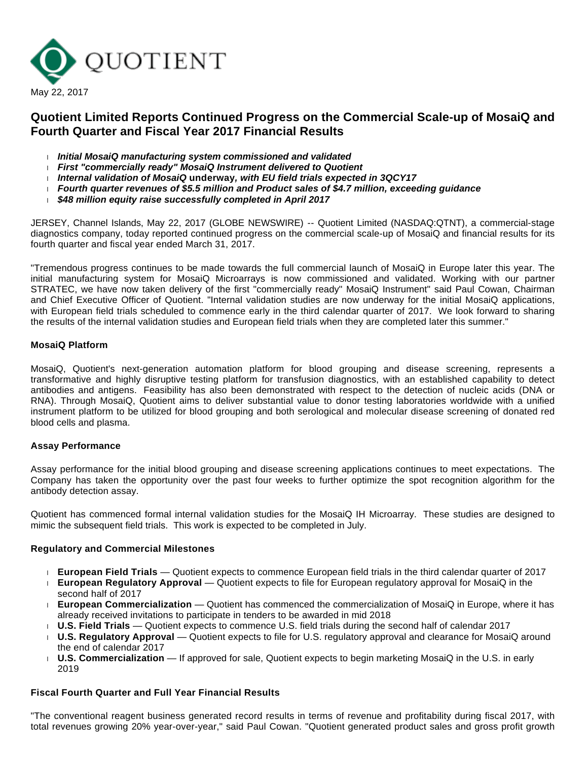

# **Quotient Limited Reports Continued Progress on the Commercial Scale-up of MosaiQ and Fourth Quarter and Fiscal Year 2017 Financial Results**

- **Initial MosaiQ manufacturing system commissioned and validated**
- **First "commercially ready" MosaiQ Instrument delivered to Quotient**
- **Internal validation of MosaiQ underway, with EU field trials expected in 3QCY17**
- **Fourth quarter revenues of \$5.5 million and Product sales of \$4.7 million, exceeding guidance**
- **\$48 million equity raise successfully completed in April 2017**

JERSEY, Channel Islands, May 22, 2017 (GLOBE NEWSWIRE) -- Quotient Limited (NASDAQ:QTNT), a commercial-stage diagnostics company, today reported continued progress on the commercial scale-up of MosaiQ and financial results for its fourth quarter and fiscal year ended March 31, 2017.

"Tremendous progress continues to be made towards the full commercial launch of MosaiQ in Europe later this year. The initial manufacturing system for MosaiQ Microarrays is now commissioned and validated. Working with our partner STRATEC, we have now taken delivery of the first "commercially ready" MosaiQ Instrument" said Paul Cowan, Chairman and Chief Executive Officer of Quotient. "Internal validation studies are now underway for the initial MosaiQ applications, with European field trials scheduled to commence early in the third calendar quarter of 2017. We look forward to sharing the results of the internal validation studies and European field trials when they are completed later this summer."

### **MosaiQ Platform**

MosaiQ, Quotient's next-generation automation platform for blood grouping and disease screening, represents a transformative and highly disruptive testing platform for transfusion diagnostics, with an established capability to detect antibodies and antigens. Feasibility has also been demonstrated with respect to the detection of nucleic acids (DNA or RNA). Through MosaiQ, Quotient aims to deliver substantial value to donor testing laboratories worldwide with a unified instrument platform to be utilized for blood grouping and both serological and molecular disease screening of donated red blood cells and plasma.

### **Assay Performance**

Assay performance for the initial blood grouping and disease screening applications continues to meet expectations. The Company has taken the opportunity over the past four weeks to further optimize the spot recognition algorithm for the antibody detection assay.

Quotient has commenced formal internal validation studies for the MosaiQ IH Microarray. These studies are designed to mimic the subsequent field trials. This work is expected to be completed in July.

### **Regulatory and Commercial Milestones**

- **European Field Trials**  Quotient expects to commence European field trials in the third calendar quarter of 2017
- **European Regulatory Approval**  Quotient expects to file for European regulatory approval for MosaiQ in the second half of 2017
- **European Commercialization**  Quotient has commenced the commercialization of MosaiQ in Europe, where it has already received invitations to participate in tenders to be awarded in mid 2018
- **U.S. Field Trials**  Quotient expects to commence U.S. field trials during the second half of calendar 2017
- **U.S. Regulatory Approval**  Quotient expects to file for U.S. regulatory approval and clearance for MosaiQ around the end of calendar 2017
- **U.S. Commercialization**  If approved for sale, Quotient expects to begin marketing MosaiQ in the U.S. in early 2019

# **Fiscal Fourth Quarter and Full Year Financial Results**

"The conventional reagent business generated record results in terms of revenue and profitability during fiscal 2017, with total revenues growing 20% year-over-year," said Paul Cowan. "Quotient generated product sales and gross profit growth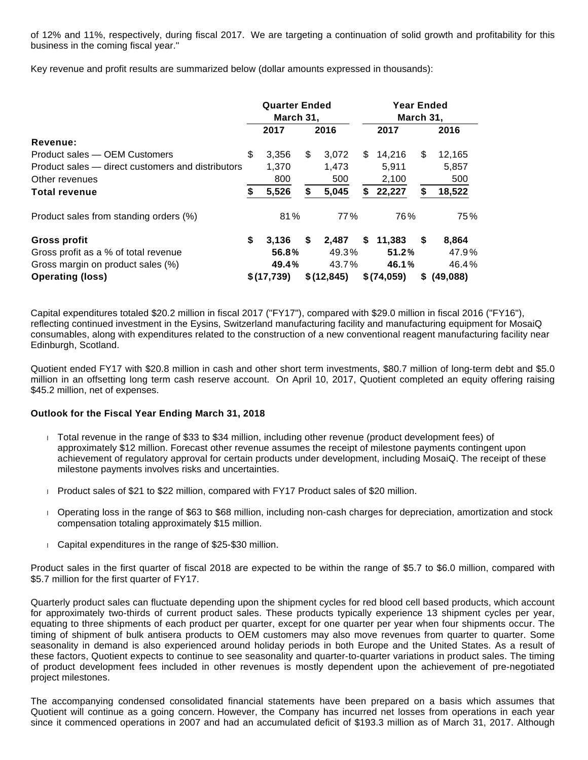of 12% and 11%, respectively, during fiscal 2017. We are targeting a continuation of solid growth and profitability for this business in the coming fiscal year."

Key revenue and profit results are summarized below (dollar amounts expressed in thousands):

|                                                   | <b>Quarter Ended</b><br>March 31, |    |                 |     | <b>Year Ended</b><br>March 31, |    |          |  |
|---------------------------------------------------|-----------------------------------|----|-----------------|-----|--------------------------------|----|----------|--|
|                                                   | 2017                              |    | 2016            |     | 2017                           |    | 2016     |  |
| Revenue:                                          |                                   |    |                 |     |                                |    |          |  |
| Product sales – OEM Customers                     | \$<br>3,356                       | \$ | 3,072           | \$. | 14,216                         | \$ | 12,165   |  |
| Product sales – direct customers and distributors | 1,370                             |    | 1,473           |     | 5,911                          |    | 5,857    |  |
| Other revenues                                    | 800                               |    | 500             |     | 2,100                          |    | 500      |  |
| <b>Total revenue</b>                              | 5,526                             | \$ | 5,045           |     | 22,227                         |    | 18,522   |  |
| Product sales from standing orders (%)            | 81%                               |    | 77 <sub>%</sub> |     | 76%                            |    | 75%      |  |
| <b>Gross profit</b>                               | \$<br>3.136                       | S  | 2,487           | S.  | 11,383                         | S  | 8,864    |  |
| Gross profit as a % of total revenue              | 56.8%                             |    | 49.3%           |     | 51.2%                          |    | 47.9%    |  |
| Gross margin on product sales (%)                 | 49.4%                             |    | 43.7%           |     | 46.1%                          |    | 46.4%    |  |
| <b>Operating (loss)</b>                           | \$(17,739)                        |    | \$(12, 845)     |     | \$(74,059)                     | S. | (49,088) |  |

Capital expenditures totaled \$20.2 million in fiscal 2017 ("FY17"), compared with \$29.0 million in fiscal 2016 ("FY16"), reflecting continued investment in the Eysins, Switzerland manufacturing facility and manufacturing equipment for MosaiQ consumables, along with expenditures related to the construction of a new conventional reagent manufacturing facility near Edinburgh, Scotland.

Quotient ended FY17 with \$20.8 million in cash and other short term investments, \$80.7 million of long-term debt and \$5.0 million in an offsetting long term cash reserve account. On April 10, 2017, Quotient completed an equity offering raising \$45.2 million, net of expenses.

### **Outlook for the Fiscal Year Ending March 31, 2018**

- Total revenue in the range of \$33 to \$34 million, including other revenue (product development fees) of approximately \$12 million. Forecast other revenue assumes the receipt of milestone payments contingent upon achievement of regulatory approval for certain products under development, including MosaiQ. The receipt of these milestone payments involves risks and uncertainties.
- Product sales of \$21 to \$22 million, compared with FY17 Product sales of \$20 million.
- Operating loss in the range of \$63 to \$68 million, including non-cash charges for depreciation, amortization and stock compensation totaling approximately \$15 million.
- Capital expenditures in the range of \$25-\$30 million.

Product sales in the first quarter of fiscal 2018 are expected to be within the range of \$5.7 to \$6.0 million, compared with \$5.7 million for the first quarter of FY17.

Quarterly product sales can fluctuate depending upon the shipment cycles for red blood cell based products, which account for approximately two-thirds of current product sales. These products typically experience 13 shipment cycles per year, equating to three shipments of each product per quarter, except for one quarter per year when four shipments occur. The timing of shipment of bulk antisera products to OEM customers may also move revenues from quarter to quarter. Some seasonality in demand is also experienced around holiday periods in both Europe and the United States. As a result of these factors, Quotient expects to continue to see seasonality and quarter-to-quarter variations in product sales. The timing of product development fees included in other revenues is mostly dependent upon the achievement of pre-negotiated project milestones.

The accompanying condensed consolidated financial statements have been prepared on a basis which assumes that Quotient will continue as a going concern. However, the Company has incurred net losses from operations in each year since it commenced operations in 2007 and had an accumulated deficit of \$193.3 million as of March 31, 2017. Although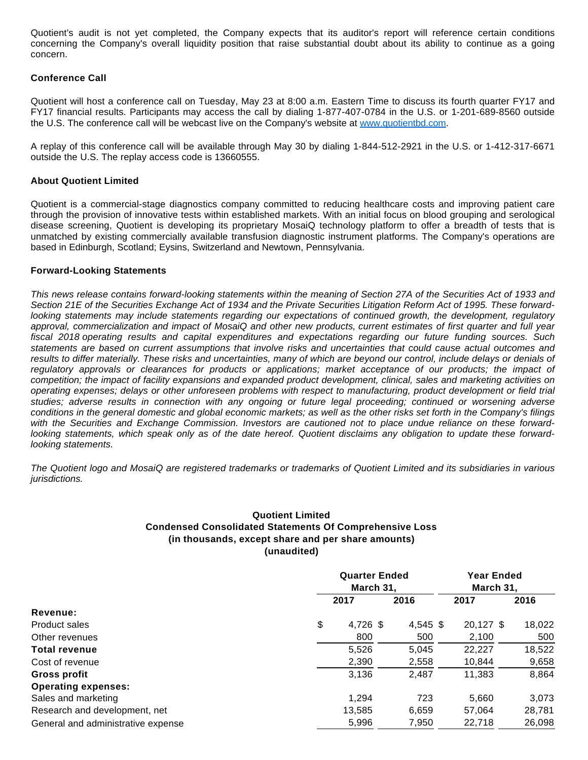Quotient's audit is not yet completed, the Company expects that its auditor's report will reference certain conditions concerning the Company's overall liquidity position that raise substantial doubt about its ability to continue as a going concern.

### **Conference Call**

Quotient will host a conference call on Tuesday, May 23 at 8:00 a.m. Eastern Time to discuss its fourth quarter FY17 and FY17 financial results. Participants may access the call by dialing 1-877-407-0784 in the U.S. or 1-201-689-8560 outside the U.S. The conference call will be webcast live on the Company's website at [www.quotientbd.com.](https://www.globenewswire.com/Tracker?data=4nufVGCc25v8VPKgTUaIE3YQPNGnU6R7YG-Y8tKHUig4fhrl99pnxV8QHBEN8VnVnryWaeoBtm8xqyes8Z8BIdUkxd3s0rIbetyDcYbUpRk=)

A replay of this conference call will be available through May 30 by dialing 1-844-512-2921 in the U.S. or 1-412-317-6671 outside the U.S. The replay access code is 13660555.

#### **About Quotient Limited**

Quotient is a commercial-stage diagnostics company committed to reducing healthcare costs and improving patient care through the provision of innovative tests within established markets. With an initial focus on blood grouping and serological disease screening, Quotient is developing its proprietary MosaiQ technology platform to offer a breadth of tests that is unmatched by existing commercially available transfusion diagnostic instrument platforms. The Company's operations are based in Edinburgh, Scotland; Eysins, Switzerland and Newtown, Pennsylvania.

#### **Forward-Looking Statements**

This news release contains forward-looking statements within the meaning of Section 27A of the Securities Act of 1933 and Section 21E of the Securities Exchange Act of 1934 and the Private Securities Litigation Reform Act of 1995. These forwardlooking statements may include statements regarding our expectations of continued growth, the development, regulatory approval, commercialization and impact of MosaiQ and other new products, current estimates of first quarter and full year fiscal 2018 operating results and capital expenditures and expectations regarding our future funding sources. Such statements are based on current assumptions that involve risks and uncertainties that could cause actual outcomes and results to differ materially. These risks and uncertainties, many of which are beyond our control, include delays or denials of regulatory approvals or clearances for products or applications; market acceptance of our products; the impact of competition; the impact of facility expansions and expanded product development, clinical, sales and marketing activities on operating expenses; delays or other unforeseen problems with respect to manufacturing, product development or field trial studies; adverse results in connection with any ongoing or future legal proceeding; continued or worsening adverse conditions in the general domestic and global economic markets; as well as the other risks set forth in the Company's filings with the Securities and Exchange Commission. Investors are cautioned not to place undue reliance on these forwardlooking statements, which speak only as of the date hereof. Quotient disclaims any obligation to update these forwardlooking statements.

The Quotient logo and MosaiQ are registered trademarks or trademarks of Quotient Limited and its subsidiaries in various jurisdictions.

### **Quotient Limited Condensed Consolidated Statements Of Comprehensive Loss (in thousands, except share and per share amounts) (unaudited)**

|                                    | <b>Quarter Ended</b><br>March 31, |            |  | <b>Year Ended</b><br>March 31, |        |  |
|------------------------------------|-----------------------------------|------------|--|--------------------------------|--------|--|
|                                    | 2017                              | 2016       |  | 2017                           | 2016   |  |
| Revenue:                           |                                   |            |  |                                |        |  |
| Product sales                      | \$<br>$4,726$ \$                  | $4,545$ \$ |  | 20,127 \$                      | 18,022 |  |
| Other revenues                     | 800                               | 500        |  | 2,100                          | 500    |  |
| <b>Total revenue</b>               | 5,526                             | 5.045      |  | 22.227                         | 18,522 |  |
| Cost of revenue                    | 2,390                             | 2,558      |  | 10,844                         | 9,658  |  |
| <b>Gross profit</b>                | 3,136                             | 2.487      |  | 11,383                         | 8,864  |  |
| <b>Operating expenses:</b>         |                                   |            |  |                                |        |  |
| Sales and marketing                | 1,294                             | 723        |  | 5,660                          | 3,073  |  |
| Research and development, net      | 13,585                            | 6.659      |  | 57.064                         | 28,781 |  |
| General and administrative expense | 5,996                             | 7,950      |  | 22.718                         | 26,098 |  |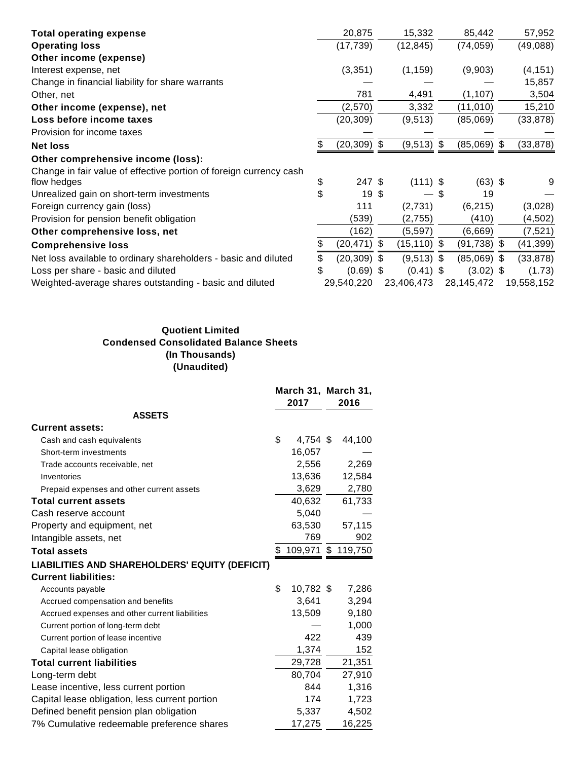| <b>Total operating expense</b>                                     |    | 20,875          |      | 15,332         |     | 85,442         | 57,952     |
|--------------------------------------------------------------------|----|-----------------|------|----------------|-----|----------------|------------|
| <b>Operating loss</b>                                              |    | (17, 739)       |      | (12, 845)      |     | (74, 059)      | (49,088)   |
| Other income (expense)                                             |    |                 |      |                |     |                |            |
| Interest expense, net                                              |    | (3,351)         |      | (1, 159)       |     | (9,903)        | (4, 151)   |
| Change in financial liability for share warrants                   |    |                 |      |                |     |                | 15,857     |
| Other, net                                                         |    | 781             |      | 4,491          |     | (1, 107)       | 3,504      |
| Other income (expense), net                                        |    | (2,570)         |      | 3,332          |     | (11, 010)      | 15,210     |
| Loss before income taxes                                           |    | (20, 309)       |      | (9, 513)       |     | (85,069)       | (33, 878)  |
| Provision for income taxes                                         |    |                 |      |                |     |                |            |
| <b>Net loss</b>                                                    |    | $(20, 309)$ \$  |      | $(9,513)$ \$   |     | $(85,069)$ \$  | (33, 878)  |
| Other comprehensive income (loss):                                 |    |                 |      |                |     |                |            |
| Change in fair value of effective portion of foreign currency cash |    |                 |      |                |     |                |            |
| flow hedges                                                        | S  | 247 \$          |      | $(111)$ \$     |     | $(63)$ \$      | 9          |
| Unrealized gain on short-term investments                          | \$ | 19 <sup>°</sup> |      |                | -\$ | 19             |            |
| Foreign currency gain (loss)                                       |    | 111             |      | (2,731)        |     | (6, 215)       | (3,028)    |
| Provision for pension benefit obligation                           |    | (539)           |      | (2,755)        |     | (410)          | (4,502)    |
| Other comprehensive loss, net                                      |    | (162)           |      | (5, 597)       |     | (6,669)        | (7,521)    |
| <b>Comprehensive loss</b>                                          |    | (20,471)        | - \$ | $(15, 110)$ \$ |     | $(91, 738)$ \$ | (41, 399)  |
| Net loss available to ordinary shareholders - basic and diluted    | S  | $(20, 309)$ \$  |      | $(9,513)$ \$   |     | $(85,069)$ \$  | (33, 878)  |
| Loss per share - basic and diluted                                 | \$ | $(0.69)$ \$     |      | $(0.41)$ \$    |     | $(3.02)$ \$    | (1.73)     |
| Weighted-average shares outstanding - basic and diluted            |    | 29,540,220      |      | 23,406,473     |     | 28,145,472     | 19,558,152 |

# **Quotient Limited Condensed Consolidated Balance Sheets (In Thousands) (Unaudited)**

|                                                       | March 31, March 31,<br>2017 |  | 2016               |
|-------------------------------------------------------|-----------------------------|--|--------------------|
| <b>ASSETS</b>                                         |                             |  |                    |
| <b>Current assets:</b>                                |                             |  |                    |
| Cash and cash equivalents                             | \$<br>4,754 $$$             |  | 44,100             |
| Short-term investments                                | 16,057                      |  |                    |
| Trade accounts receivable, net                        | 2,556                       |  | 2,269              |
| Inventories                                           | 13,636                      |  | 12,584             |
| Prepaid expenses and other current assets             | 3,629                       |  | 2,780              |
| <b>Total current assets</b>                           | 40,632                      |  | 61,733             |
| Cash reserve account                                  | 5,040                       |  |                    |
| Property and equipment, net                           | 63,530                      |  | 57,115             |
| Intangible assets, net                                | 769                         |  | 902                |
| <b>Total assets</b>                                   | \$                          |  | 109,971 \$ 119,750 |
| <b>LIABILITIES AND SHAREHOLDERS' EQUITY (DEFICIT)</b> |                             |  |                    |
| <b>Current liabilities:</b>                           |                             |  |                    |
| Accounts payable                                      | \$<br>10,782 \$             |  | 7,286              |
| Accrued compensation and benefits                     | 3,641                       |  | 3,294              |
| Accrued expenses and other current liabilities        | 13,509                      |  | 9,180              |
| Current portion of long-term debt                     |                             |  | 1,000              |
| Current portion of lease incentive                    | 422                         |  | 439                |
| Capital lease obligation                              | 1,374                       |  | 152                |
| <b>Total current liabilities</b>                      | 29,728                      |  | 21,351             |
| Long-term debt                                        | 80,704                      |  | 27,910             |
| Lease incentive, less current portion                 | 844                         |  | 1,316              |
| Capital lease obligation, less current portion        | 174                         |  | 1,723              |
| Defined benefit pension plan obligation               | 5,337                       |  | 4,502              |
| 7% Cumulative redeemable preference shares            | 17,275                      |  | 16,225             |